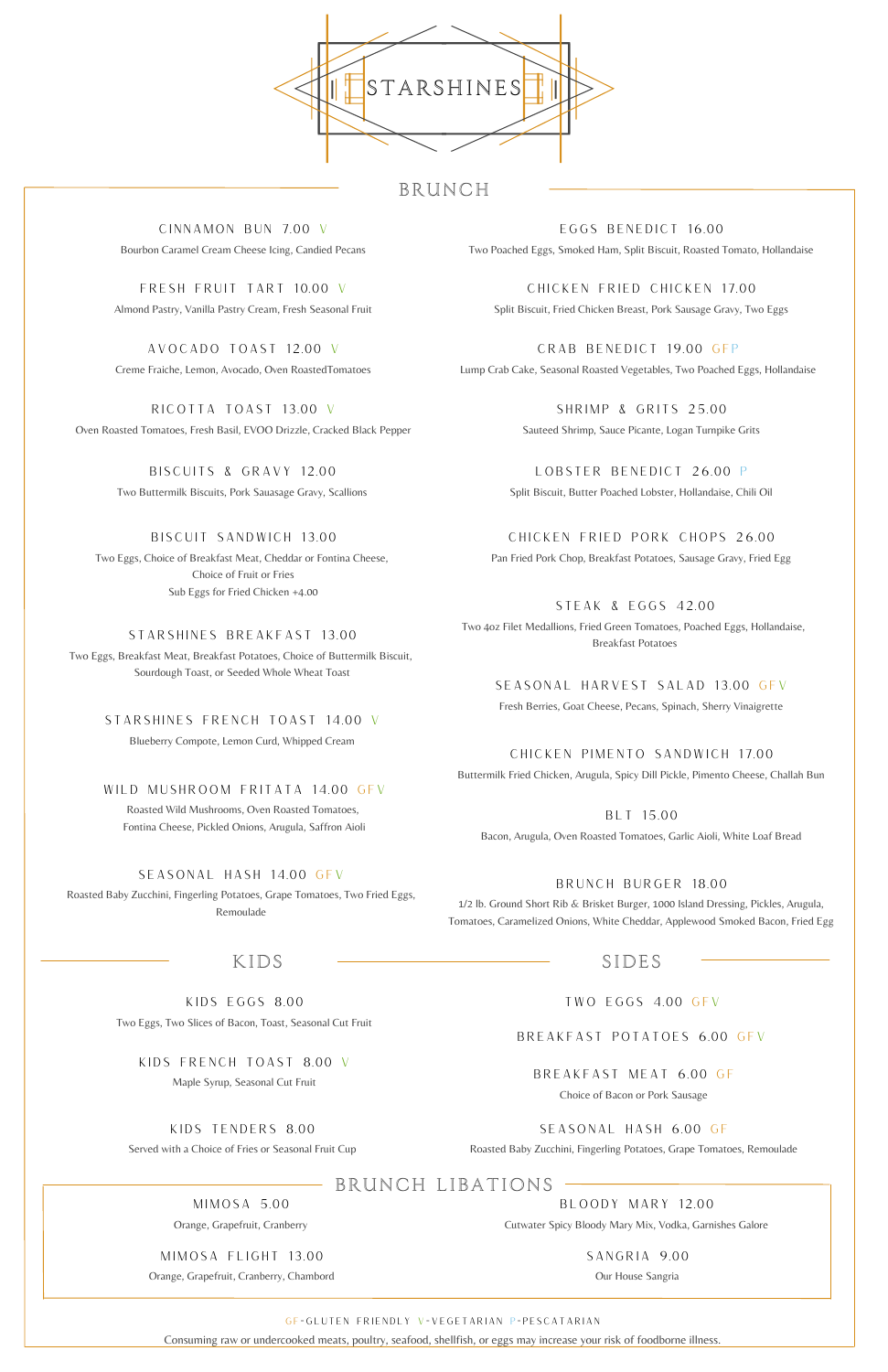SIDES

# BRUNCH

SEASONAL HARVEST SALAD 13.00 GFV Fresh Berries, Goat Cheese, Pecans, Spinach, Sherry Vinaigrette

CRAB BENEDICT 19.00 GFP Lump Crab Cake, Seasonal Roasted Vegetables, Two Poached Eggs, Hollandaise

TWO EGGS 4.00 GFV

#### GF=GLUTEN FRIENDLY V=VEGETARIAN P=PESCATARIAN

Consuming raw or undercooked meats, poultry, seafood, shellfish, or eggs may increase your risk of foodborne illness.

#### KIDS FRENCH TOAST 8.00 V

Maple Syrup, Seasonal Cut Fruit

STARSHINES FRENCH TOAST 14.00 V

Blueberry Compote, Lemon Curd, Whipped Cream

CHICKEN PIMENTO SANDWICH 17.00 Buttermilk Fried Chicken, Arugula, Spicy Dill Pickle, Pimento Cheese, Challah Bun



## KIDS

BLT 15.00

Bacon, Arugula, Oven Roasted Tomatoes, Garlic Aioli, White Loaf Bread

EGGS BENEDICT 16.00 Two Poached Eggs, Smoked Ham, Split Biscuit, Roasted Tomato, Hollandaise

AVOCADO TOAST 12.00 V Creme Fraiche, Lemon, Avocado, Oven RoastedTomatoes

KIDS EGGS 8.00

Two Eggs, Two Slices of Bacon, Toast, Seasonal Cut Fruit

CHICKEN FRIED CHICKEN 17.00 Split Biscuit, Fried Chicken Breast, Pork Sausage Gravy, Two Eggs

STARSHINES BREAKFAST 13.00

Two Eggs, Breakfast Meat, Breakfast Potatoes, Choice of Buttermilk Biscuit, Sourdough Toast, or Seeded Whole Wheat Toast

STEAK & EGGS 42.00 Two 4oz Filet Medallions, Fried Green Tomatoes, Poached Eggs, Hollandaise, Breakfast Potatoes

BISCUIT SANDWICH 13.00 Two Eggs, Choice of Breakfast Meat, Cheddar or Fontina Cheese, Choice of Fruit or Fries Sub Eggs for Fried Chicken +4.00

### WILD MUSHROOM FRITATA 14.00 GFV

Roasted Wild Mushrooms, Oven Roasted Tomatoes, Fontina Cheese, Pickled Onions, Arugula, Saffron Aioli

BREAKFAST MEAT 6.00 GF

Choice of Bacon or Pork Sausage

BISCUITS & GRAVY 12.00 Two Buttermilk Biscuits, Pork Sauasage Gravy, Scallions

KIDS TENDERS 8.00

Served with a Choice of Fries or Seasonal Fruit Cup

#### BREAKFAST POTATOES 6.00 GFV

RICOTTA TOAST 13.00 V Oven Roasted Tomatoes, Fresh Basil, EVOO Drizzle, Cracked Black Pepper

### SEASONAL HASH 14.00 GFV

Roasted Baby Zucchini, Fingerling Potatoes, Grape Tomatoes, Two Fried Eggs, Remoulade

SHRIMP & GRITS 25.00 Sauteed Shrimp, Sauce Picante, Logan Turnpike Grits

CINNAMON BUN 7.00 V Bourbon Caramel Cream Cheese Icing, Candied Pecans

FRESH FRUIT TART 10.00 V Almond Pastry, Vanilla Pastry Cream, Fresh Seasonal Fruit

> LOBSTER BENEDICT 26.00 P Split Biscuit, Butter Poached Lobster, Hollandaise, Chili Oil

CHICKEN FRIED PORK CHOPS 26.00 Pan Fried Pork Chop, Breakfast Potatoes, Sausage Gravy, Fried Egg

### BRUNCH BURGER 18.00

1/2 lb. Ground Short Rib & Brisket Burger, 1000 Island Dressing, Pickles, Arugula, Tomatoes, Caramelized Onions, White Cheddar, Applewood Smoked Bacon, Fried Egg

SEASONAL HASH 6.00 GF

Roasted Baby Zucchini, Fingerling Potatoes, Grape Tomatoes, Remoulade

## BRUNCH LIBATIONS

MIMOSA 5.00

Orange, Grapefruit, Cranberry

MIMOSA FLIGHT 13.00

Orange, Grapefruit, Cranberry, Chambord

BLOODY MARY 12.00

Cutwater Spicy Bloody Mary Mix, Vodka, Garnishes Galore

SANGRIA 9.00

Our House Sangria